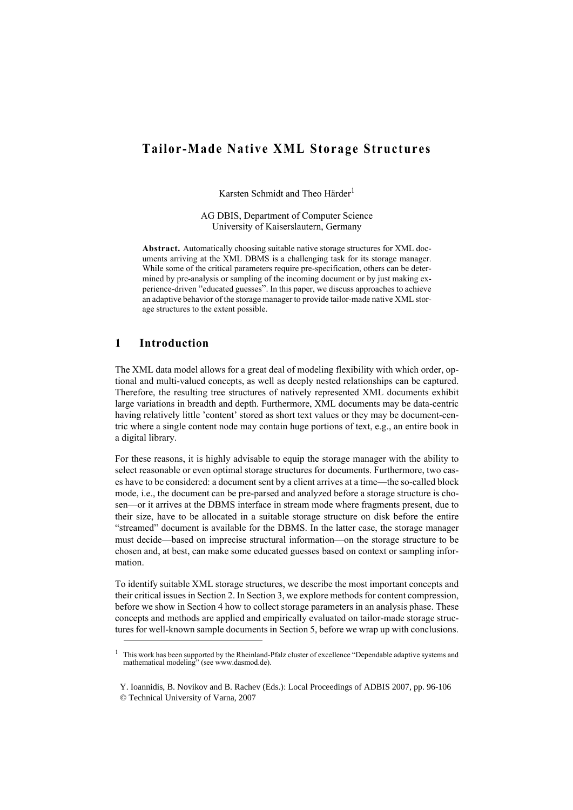# **Tailor-Made Native XML Storage Structures**

Karsten Schmidt and Theo Härder<sup>1</sup>

AG DBIS, Department of Computer Science University of Kaiserslautern, Germany

**Abstract.** Automatically choosing suitable native storage structures for XML documents arriving at the XML DBMS is a challenging task for its storage manager. While some of the critical parameters require pre-specification, others can be determined by pre-analysis or sampling of the incoming document or by just making experience-driven "educated guesses". In this paper, we discuss approaches to achieve an adaptive behavior of the storage manager to provide tailor-made native XML storage structures to the extent possible.

## **1 Introduction**

The XML data model allows for a great deal of modeling flexibility with which order, optional and multi-valued concepts, as well as deeply nested relationships can be captured. Therefore, the resulting tree structures of natively represented XML documents exhibit large variations in breadth and depth. Furthermore, XML documents may be data-centric having relatively little 'content' stored as short text values or they may be document-centric where a single content node may contain huge portions of text, e.g., an entire book in a digital library.

For these reasons, it is highly advisable to equip the storage manager with the ability to select reasonable or even optimal storage structures for documents. Furthermore, two cases have to be considered: a document sent by a client arrives at a time—the so-called block mode, i.e., the document can be pre-parsed and analyzed before a storage structure is chosen—or it arrives at the DBMS interface in stream mode where fragments present, due to their size, have to be allocated in a suitable storage structure on disk before the entire "streamed" document is available for the DBMS. In the latter case, the storage manager must decide—based on imprecise structural information—on the storage structure to be chosen and, at best, can make some educated guesses based on context or sampling information.

To identify suitable XML storage structures, we describe the most important concepts and their critical issues in Section 2. In Section 3, we explore methods for content compression, before we show in Section 4 how to collect storage parameters in an analysis phase. These concepts and methods are applied and empirically evaluated on tailor-made storage structures for well-known sample documents in Section 5, before we wrap up with conclusions.

<sup>1</sup> This work has been supported by the Rheinland-Pfalz cluster of excellence "Dependable adaptive systems and mathematical modeling" (see www.dasmod.de).

Y. Ioannidis, B. Novikov and B. Rachev (Eds.): Local Proceedings of ADBIS 2007, pp. 96-106 © Technical University of Varna, 2007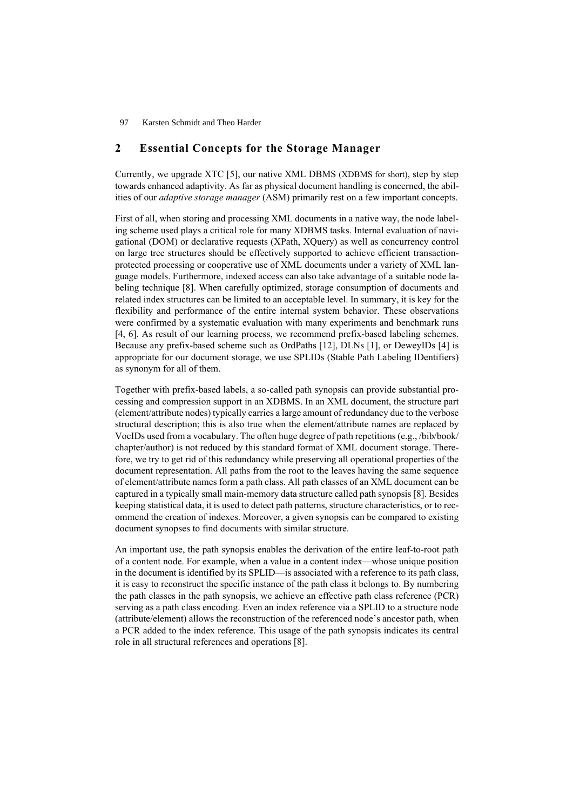## **2 Essential Concepts for the Storage Manager**

Currently, we upgrade XTC [5], our native XML DBMS (XDBMS for short), step by step towards enhanced adaptivity. As far as physical document handling is concerned, the abilities of our *adaptive storage manager* (ASM) primarily rest on a few important concepts.

First of all, when storing and processing XML documents in a native way, the node labeling scheme used plays a critical role for many XDBMS tasks. Internal evaluation of navigational (DOM) or declarative requests (XPath, XQuery) as well as concurrency control on large tree structures should be effectively supported to achieve efficient transactionprotected processing or cooperative use of XML documents under a variety of XML language models. Furthermore, indexed access can also take advantage of a suitable node labeling technique [8]. When carefully optimized, storage consumption of documents and related index structures can be limited to an acceptable level. In summary, it is key for the flexibility and performance of the entire internal system behavior. These observations were confirmed by a systematic evaluation with many experiments and benchmark runs [4, 6]. As result of our learning process, we recommend prefix-based labeling schemes. Because any prefix-based scheme such as OrdPaths [12], DLNs [1], or DeweyIDs [4] is appropriate for our document storage, we use SPLIDs (Stable Path Labeling IDentifiers) as synonym for all of them.

Together with prefix-based labels, a so-called path synopsis can provide substantial processing and compression support in an XDBMS. In an XML document, the structure part (element/attribute nodes) typically carries a large amount of redundancy due to the verbose structural description; this is also true when the element/attribute names are replaced by VocIDs used from a vocabulary. The often huge degree of path repetitions (e.g., /bib/book/ chapter/author) is not reduced by this standard format of XML document storage. Therefore, we try to get rid of this redundancy while preserving all operational properties of the document representation. All paths from the root to the leaves having the same sequence of element/attribute names form a path class. All path classes of an XML document can be captured in a typically small main-memory data structure called path synopsis [8]. Besides keeping statistical data, it is used to detect path patterns, structure characteristics, or to recommend the creation of indexes. Moreover, a given synopsis can be compared to existing document synopses to find documents with similar structure.

An important use, the path synopsis enables the derivation of the entire leaf-to-root path of a content node. For example, when a value in a content index—whose unique position in the document is identified by its SPLID—is associated with a reference to its path class, it is easy to reconstruct the specific instance of the path class it belongs to. By numbering the path classes in the path synopsis, we achieve an effective path class reference (PCR) serving as a path class encoding. Even an index reference via a SPLID to a structure node (attribute/element) allows the reconstruction of the referenced node's ancestor path, when a PCR added to the index reference. This usage of the path synopsis indicates its central role in all structural references and operations [8].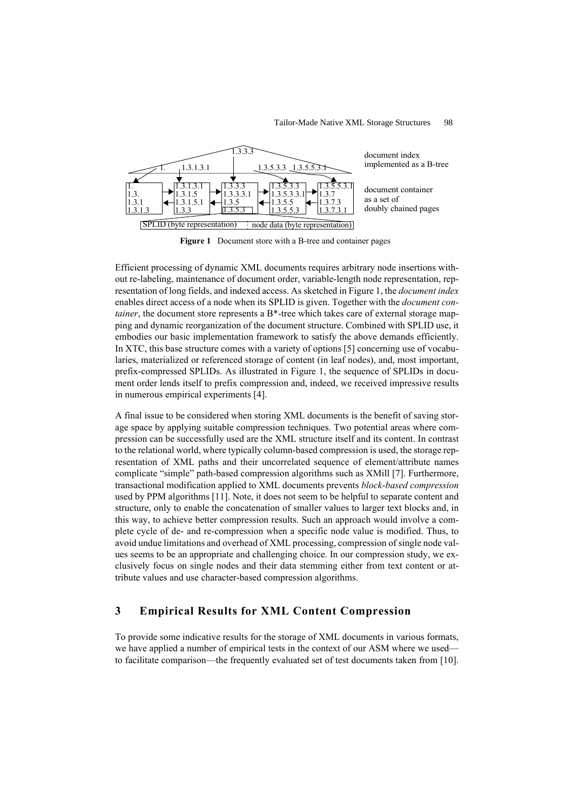#### Tailor-Made Native XML Storage Structures 98



**Figure 1** Document store with a B-tree and container pages

Efficient processing of dynamic XML documents requires arbitrary node insertions without re-labeling, maintenance of document order, variable-length node representation, representation of long fields, and indexed access. As sketched in Figure 1, the *document index* enables direct access of a node when its SPLID is given. Together with the *document container*, the document store represents a B<sup>\*</sup>-tree which takes care of external storage mapping and dynamic reorganization of the document structure. Combined with SPLID use, it embodies our basic implementation framework to satisfy the above demands efficiently. In XTC, this base structure comes with a variety of options [5] concerning use of vocabularies, materialized or referenced storage of content (in leaf nodes), and, most important, prefix-compressed SPLIDs. As illustrated in Figure 1, the sequence of SPLIDs in document order lends itself to prefix compression and, indeed, we received impressive results in numerous empirical experiments [4].

A final issue to be considered when storing XML documents is the benefit of saving storage space by applying suitable compression techniques. Two potential areas where compression can be successfully used are the XML structure itself and its content. In contrast to the relational world, where typically column-based compression is used, the storage representation of XML paths and their uncorrelated sequence of element/attribute names complicate "simple" path-based compression algorithms such as XMill [7]. Furthermore, transactional modification applied to XML documents prevents *block-based compression* used by PPM algorithms [11]. Note, it does not seem to be helpful to separate content and structure, only to enable the concatenation of smaller values to larger text blocks and, in this way, to achieve better compression results. Such an approach would involve a complete cycle of de- and re-compression when a specific node value is modified. Thus, to avoid undue limitations and overhead of XML processing, compression of single node values seems to be an appropriate and challenging choice. In our compression study, we exclusively focus on single nodes and their data stemming either from text content or attribute values and use character-based compression algorithms.

## **3 Empirical Results for XML Content Compression**

To provide some indicative results for the storage of XML documents in various formats, we have applied a number of empirical tests in the context of our ASM where we used to facilitate comparison—the frequently evaluated set of test documents taken from [10].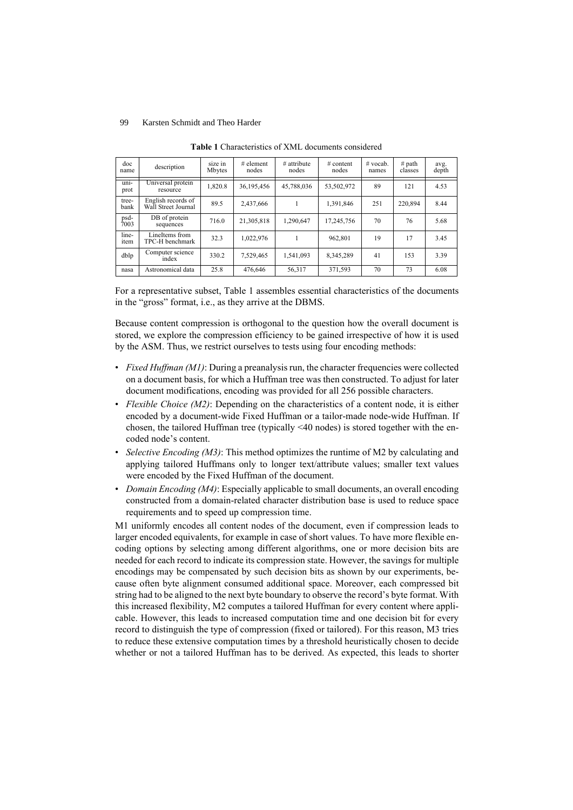| doc<br>name   | description                               | size in<br>Mbytes | $#$ element<br>nodes | $#$ attribute<br>nodes | # content<br>nodes | $#$ vocab.<br>names | # path<br>classes | avg.<br>depth |
|---------------|-------------------------------------------|-------------------|----------------------|------------------------|--------------------|---------------------|-------------------|---------------|
| uni-<br>prot  | Universal protein<br>resource             | 1,820.8           | 36,195,456           | 45,788,036             | 53,502,972         | 89                  | 121               | 4.53          |
| tree-<br>bank | English records of<br>Wall Street Journal | 89.5              | 2,437,666            |                        | 1,391,846          | 251                 | 220.894           | 8.44          |
| psd-<br>7003  | DB of protein<br>sequences                | 716.0             | 21,305,818           | 1.290.647              | 17.245.756         | 70                  | 76                | 5.68          |
| line-<br>item | LineItems from<br>TPC-H benchmark         | 32.3              | 1,022,976            |                        | 962.801            | 19                  | 17                | 3.45          |
| dblp          | Computer science<br>index                 | 330.2             | 7,529,465            | 1.541.093              | 8,345,289          | 41                  | 153               | 3.39          |
| nasa          | Astronomical data                         | 25.8              | 476.646              | 56,317                 | 371,593            | 70                  | 73                | 6.08          |

**Table 1** Characteristics of XML documents considered

For a representative subset, Table 1 assembles essential characteristics of the documents in the "gross" format, i.e., as they arrive at the DBMS.

Because content compression is orthogonal to the question how the overall document is stored, we explore the compression efficiency to be gained irrespective of how it is used by the ASM. Thus, we restrict ourselves to tests using four encoding methods:

- *Fixed Huffman (M1)*: During a preanalysis run, the character frequencies were collected on a document basis, for which a Huffman tree was then constructed. To adjust for later document modifications, encoding was provided for all 256 possible characters.
- *Flexible Choice (M2)*: Depending on the characteristics of a content node, it is either encoded by a document-wide Fixed Huffman or a tailor-made node-wide Huffman. If chosen, the tailored Huffman tree (typically <40 nodes) is stored together with the encoded node's content.
- *Selective Encoding (M3)*: This method optimizes the runtime of M2 by calculating and applying tailored Huffmans only to longer text/attribute values; smaller text values were encoded by the Fixed Huffman of the document.
- *Domain Encoding (M4)*: Especially applicable to small documents, an overall encoding constructed from a domain-related character distribution base is used to reduce space requirements and to speed up compression time.

M1 uniformly encodes all content nodes of the document, even if compression leads to larger encoded equivalents, for example in case of short values. To have more flexible encoding options by selecting among different algorithms, one or more decision bits are needed for each record to indicate its compression state. However, the savings for multiple encodings may be compensated by such decision bits as shown by our experiments, because often byte alignment consumed additional space. Moreover, each compressed bit string had to be aligned to the next byte boundary to observe the record's byte format. With this increased flexibility, M2 computes a tailored Huffman for every content where applicable. However, this leads to increased computation time and one decision bit for every record to distinguish the type of compression (fixed or tailored). For this reason, M3 tries to reduce these extensive computation times by a threshold heuristically chosen to decide whether or not a tailored Huffman has to be derived. As expected, this leads to shorter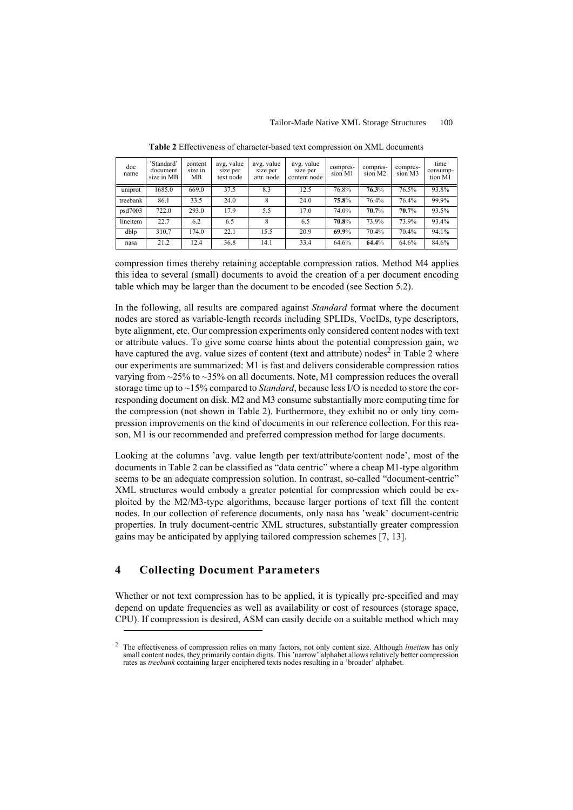| doc<br>name | 'Standard'<br>document<br>size in MB | content<br>size in<br>MВ | avg. value<br>size per<br>text node | avg. value<br>size per<br>attr. node | avg. value<br>size per<br>content node | compres-<br>sion M1 | compres-<br>sion M2 | compres-<br>sion M3 | time<br>consump-<br>tion M1 |
|-------------|--------------------------------------|--------------------------|-------------------------------------|--------------------------------------|----------------------------------------|---------------------|---------------------|---------------------|-----------------------------|
| uniprot     | 1685.0                               | 669.0                    | 37.5                                | 8.3                                  | 12.5                                   | 76.8%               | 76.3%               | 76.5%               | 93.8%                       |
| treebank    | 86.1                                 | 33.5                     | 24.0                                |                                      | 24.0                                   | 75.8%               | 76.4%               | 76.4%               | 99.9%                       |
| psd7003     | 722.0                                | 293.0                    | 17.9                                | 5.5                                  | 17.0                                   | 74.0%               | 70.7%               | 70.7%               | 93.5%                       |
| lineitem    | 22.7                                 | 6.2                      | 6.5                                 | 8                                    | 6.5                                    | 70.8%               | 73.9%               | 73.9%               | 93.4%                       |
| dblp        | 310,7                                | 174.0                    | 22.1                                | 15.5                                 | 20.9                                   | 69.9%               | 70.4%               | 70.4%               | 94.1%                       |
| nasa        | 21.2                                 | 12.4                     | 36.8                                | 14.1                                 | 33.4                                   | 64.6%               | 64.4%               | 64.6%               | 84.6%                       |

**Table 2** Effectiveness of character-based text compression on XML documents

compression times thereby retaining acceptable compression ratios. Method M4 applies this idea to several (small) documents to avoid the creation of a per document encoding table which may be larger than the document to be encoded (see Section 5.2).

In the following, all results are compared against *Standard* format where the document nodes are stored as variable-length records including SPLIDs, VocIDs, type descriptors, byte alignment, etc. Our compression experiments only considered content nodes with text or attribute values. To give some coarse hints about the potential compression gain, we have captured the avg. value sizes of content (text and attribute) nodes<sup>2</sup> in Table 2 where our experiments are summarized: M1 is fast and delivers considerable compression ratios varying from ~25% to ~35% on all documents. Note, M1 compression reduces the overall storage time up to ~15% compared to *Standard*, because less I/O is needed to store the corresponding document on disk. M2 and M3 consume substantially more computing time for the compression (not shown in Table 2). Furthermore, they exhibit no or only tiny compression improvements on the kind of documents in our reference collection. For this reason, M1 is our recommended and preferred compression method for large documents.

Looking at the columns 'avg. value length per text/attribute/content node', most of the documents in Table 2 can be classified as "data centric" where a cheap M1-type algorithm seems to be an adequate compression solution. In contrast, so-called "document-centric" XML structures would embody a greater potential for compression which could be exploited by the M2/M3-type algorithms, because larger portions of text fill the content nodes. In our collection of reference documents, only nasa has 'weak' document-centric properties. In truly document-centric XML structures, substantially greater compression gains may be anticipated by applying tailored compression schemes [7, 13].

## **4 Collecting Document Parameters**

Whether or not text compression has to be applied, it is typically pre-specified and may depend on update frequencies as well as availability or cost of resources (storage space, CPU). If compression is desired, ASM can easily decide on a suitable method which may

<sup>2</sup> The effectiveness of compression relies on many factors, not only content size. Although *lineitem* has only small content nodes, they primarily contain digits. This 'narrow' alphabet allows relatively better compression rates as *treebank* containing larger enciphered texts nodes resulting in a 'broader' alphabet.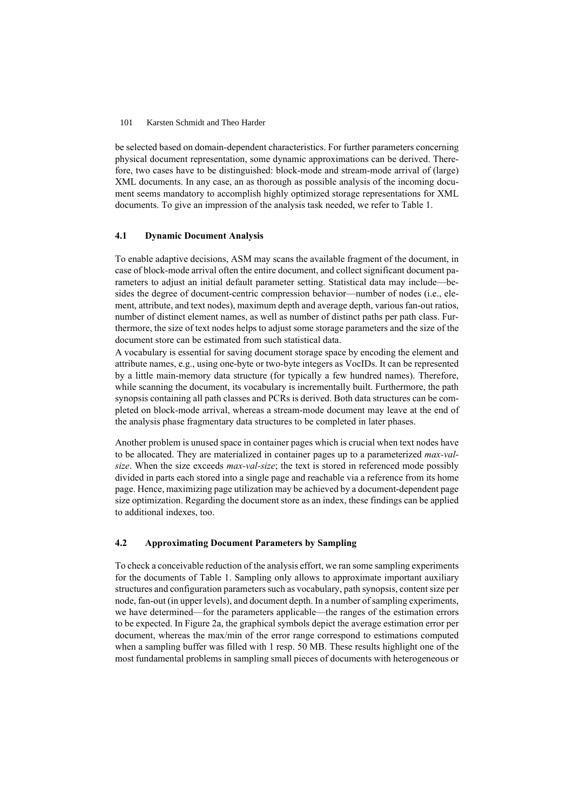be selected based on domain-dependent characteristics. For further parameters concerning physical document representation, some dynamic approximations can be derived. Therefore, two cases have to be distinguished: block-mode and stream-mode arrival of (large) XML documents. In any case, an as thorough as possible analysis of the incoming document seems mandatory to accomplish highly optimized storage representations for XML documents. To give an impression of the analysis task needed, we refer to Table 1.

### **4.1 Dynamic Document Analysis**

To enable adaptive decisions, ASM may scans the available fragment of the document, in case of block-mode arrival often the entire document, and collect significant document parameters to adjust an initial default parameter setting. Statistical data may include—besides the degree of document-centric compression behavior—number of nodes (i.e., element, attribute, and text nodes), maximum depth and average depth, various fan-out ratios, number of distinct element names, as well as number of distinct paths per path class. Furthermore, the size of text nodes helps to adjust some storage parameters and the size of the document store can be estimated from such statistical data.

A vocabulary is essential for saving document storage space by encoding the element and attribute names, e.g., using one-byte or two-byte integers as VocIDs. It can be represented by a little main-memory data structure (for typically a few hundred names). Therefore, while scanning the document, its vocabulary is incrementally built. Furthermore, the path synopsis containing all path classes and PCRs is derived. Both data structures can be completed on block-mode arrival, whereas a stream-mode document may leave at the end of the analysis phase fragmentary data structures to be completed in later phases.

Another problem is unused space in container pages which is crucial when text nodes have to be allocated. They are materialized in container pages up to a parameterized *max-valsize*. When the size exceeds *max-val-size*; the text is stored in referenced mode possibly divided in parts each stored into a single page and reachable via a reference from its home page. Hence, maximizing page utilization may be achieved by a document-dependent page size optimization. Regarding the document store as an index, these findings can be applied to additional indexes, too.

### **4.2 Approximating Document Parameters by Sampling**

To check a conceivable reduction of the analysis effort, we ran some sampling experiments for the documents of Table 1. Sampling only allows to approximate important auxiliary structures and configuration parameters such as vocabulary, path synopsis, content size per node, fan-out (in upper levels), and document depth. In a number of sampling experiments, we have determined—for the parameters applicable—the ranges of the estimation errors to be expected. In Figure 2a, the graphical symbols depict the average estimation error per document, whereas the max/min of the error range correspond to estimations computed when a sampling buffer was filled with 1 resp. 50 MB. These results highlight one of the most fundamental problems in sampling small pieces of documents with heterogeneous or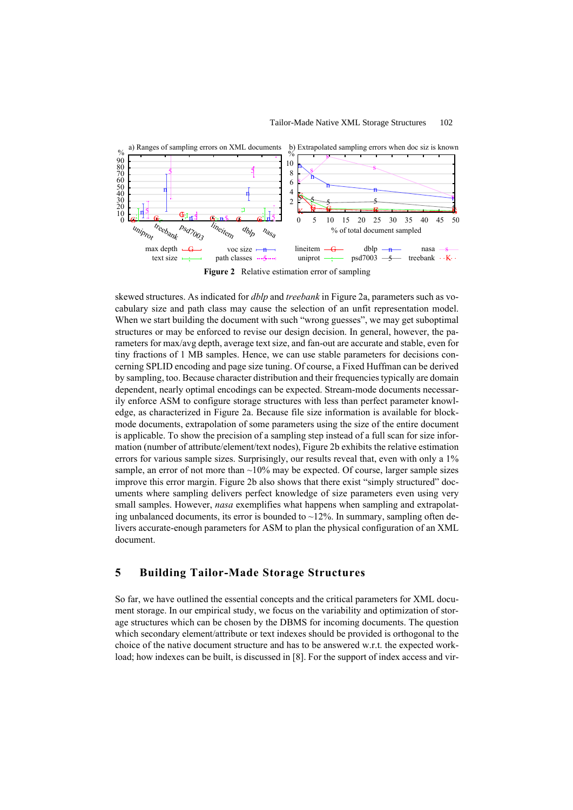

skewed structures. As indicated for *dblp* and *treebank* in Figure 2a, parameters such as vocabulary size and path class may cause the selection of an unfit representation model. When we start building the document with such "wrong guesses", we may get suboptimal structures or may be enforced to revise our design decision. In general, however, the parameters for max/avg depth, average text size, and fan-out are accurate and stable, even for tiny fractions of 1 MB samples. Hence, we can use stable parameters for decisions concerning SPLID encoding and page size tuning. Of course, a Fixed Huffman can be derived by sampling, too. Because character distribution and their frequencies typically are domain dependent, nearly optimal encodings can be expected. Stream-mode documents necessarily enforce ASM to configure storage structures with less than perfect parameter knowledge, as characterized in Figure 2a. Because file size information is available for blockmode documents, extrapolation of some parameters using the size of the entire document is applicable. To show the precision of a sampling step instead of a full scan for size information (number of attribute/element/text nodes), Figure 2b exhibits the relative estimation errors for various sample sizes. Surprisingly, our results reveal that, even with only a 1% sample, an error of not more than  $\sim 10\%$  may be expected. Of course, larger sample sizes improve this error margin. Figure 2b also shows that there exist "simply structured" documents where sampling delivers perfect knowledge of size parameters even using very small samples. However, *nasa* exemplifies what happens when sampling and extrapolating unbalanced documents, its error is bounded to  $\sim$ 12%. In summary, sampling often delivers accurate-enough parameters for ASM to plan the physical configuration of an XML document.

## **5 Building Tailor-Made Storage Structures**

So far, we have outlined the essential concepts and the critical parameters for XML document storage. In our empirical study, we focus on the variability and optimization of storage structures which can be chosen by the DBMS for incoming documents. The question which secondary element/attribute or text indexes should be provided is orthogonal to the choice of the native document structure and has to be answered w.r.t. the expected workload; how indexes can be built, is discussed in [8]. For the support of index access and vir-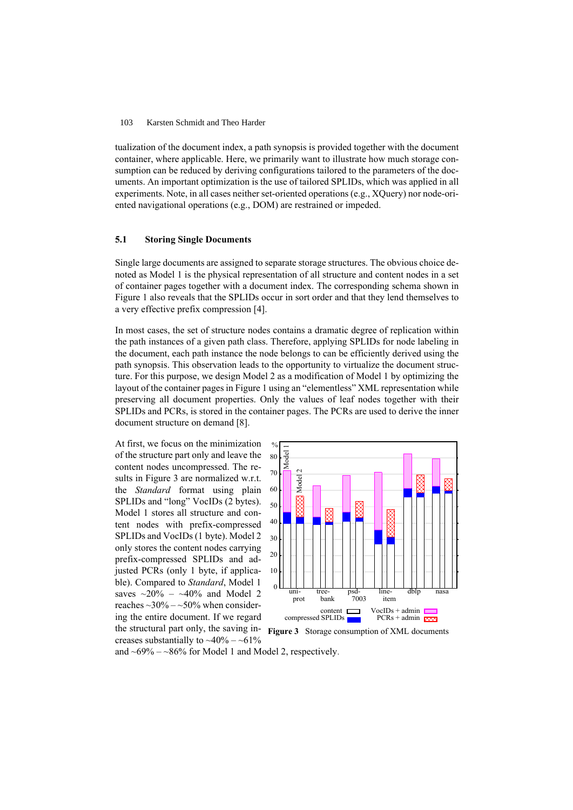tualization of the document index, a path synopsis is provided together with the document container, where applicable. Here, we primarily want to illustrate how much storage consumption can be reduced by deriving configurations tailored to the parameters of the documents. An important optimization is the use of tailored SPLIDs, which was applied in all experiments. Note, in all cases neither set-oriented operations (e.g., XQuery) nor node-oriented navigational operations (e.g., DOM) are restrained or impeded.

#### **5.1 Storing Single Documents**

Single large documents are assigned to separate storage structures. The obvious choice denoted as Model 1 is the physical representation of all structure and content nodes in a set of container pages together with a document index. The corresponding schema shown in Figure 1 also reveals that the SPLIDs occur in sort order and that they lend themselves to a very effective prefix compression [4].

In most cases, the set of structure nodes contains a dramatic degree of replication within the path instances of a given path class. Therefore, applying SPLIDs for node labeling in the document, each path instance the node belongs to can be efficiently derived using the path synopsis. This observation leads to the opportunity to virtualize the document structure. For this purpose, we design Model 2 as a modification of Model 1 by optimizing the layout of the container pages in Figure 1 using an "elementless" XML representation while preserving all document properties. Only the values of leaf nodes together with their SPLIDs and PCRs, is stored in the container pages. The PCRs are used to derive the inner document structure on demand [8].

At first, we focus on the minimization of the structure part only and leave the content nodes uncompressed. The results in Figure 3 are normalized w.r.t. the *Standard* format using plain SPLIDs and "long" VocIDs (2 bytes). Model 1 stores all structure and content nodes with prefix-compressed SPLIDs and VocIDs (1 byte). Model 2 only stores the content nodes carrying prefix-compressed SPLIDs and adjusted PCRs (only 1 byte, if applicable). Compared to *Standard*, Model 1 saves  $\sim$ 20% –  $\sim$ 40% and Model 2 reaches  $\sim$ 30% –  $\sim$ 50% when considering the entire document. If we regard the structural part only, the saving in-**Figure 3** Storage consumption of XML documents creases substantially to  $~10\% - 61\%$ 



and  $~69\% -~86\%$  for Model 1 and Model 2, respectively.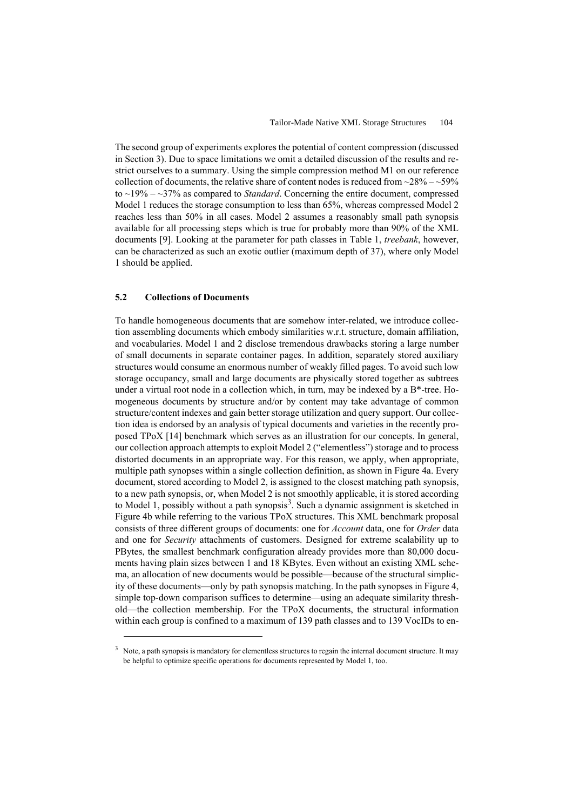The second group of experiments explores the potential of content compression (discussed in Section 3). Due to space limitations we omit a detailed discussion of the results and restrict ourselves to a summary. Using the simple compression method M1 on our reference collection of documents, the relative share of content nodes is reduced from  $\sim$ 28% –  $\sim$ 59% to ~19% – ~37% as compared to *Standard*. Concerning the entire document, compressed Model 1 reduces the storage consumption to less than 65%, whereas compressed Model 2 reaches less than 50% in all cases. Model 2 assumes a reasonably small path synopsis available for all processing steps which is true for probably more than 90% of the XML documents [9]. Looking at the parameter for path classes in Table 1, *treebank*, however, can be characterized as such an exotic outlier (maximum depth of 37), where only Model 1 should be applied.

#### **5.2 Collections of Documents**

To handle homogeneous documents that are somehow inter-related, we introduce collection assembling documents which embody similarities w.r.t. structure, domain affiliation, and vocabularies. Model 1 and 2 disclose tremendous drawbacks storing a large number of small documents in separate container pages. In addition, separately stored auxiliary structures would consume an enormous number of weakly filled pages. To avoid such low storage occupancy, small and large documents are physically stored together as subtrees under a virtual root node in a collection which, in turn, may be indexed by a  $B^*$ -tree. Homogeneous documents by structure and/or by content may take advantage of common structure/content indexes and gain better storage utilization and query support. Our collection idea is endorsed by an analysis of typical documents and varieties in the recently proposed TPoX [14] benchmark which serves as an illustration for our concepts. In general, our collection approach attempts to exploit Model 2 ("elementless") storage and to process distorted documents in an appropriate way. For this reason, we apply, when appropriate, multiple path synopses within a single collection definition, as shown in Figure 4a. Every document, stored according to Model 2, is assigned to the closest matching path synopsis, to a new path synopsis, or, when Model 2 is not smoothly applicable, it is stored according to Model 1, possibly without a path synopsis<sup>3</sup>. Such a dynamic assignment is sketched in Figure 4b while referring to the various TPoX structures. This XML benchmark proposal consists of three different groups of documents: one for *Account* data, one for *Order* data and one for *Security* attachments of customers. Designed for extreme scalability up to PBytes, the smallest benchmark configuration already provides more than 80,000 documents having plain sizes between 1 and 18 KBytes. Even without an existing XML schema, an allocation of new documents would be possible—because of the structural simplicity of these documents—only by path synopsis matching. In the path synopses in Figure 4, simple top-down comparison suffices to determine—using an adequate similarity threshold—the collection membership. For the TPoX documents, the structural information within each group is confined to a maximum of 139 path classes and to 139 VocIDs to en-

 $3$  Note, a path synopsis is mandatory for elementless structures to regain the internal document structure. It may be helpful to optimize specific operations for documents represented by Model 1, too.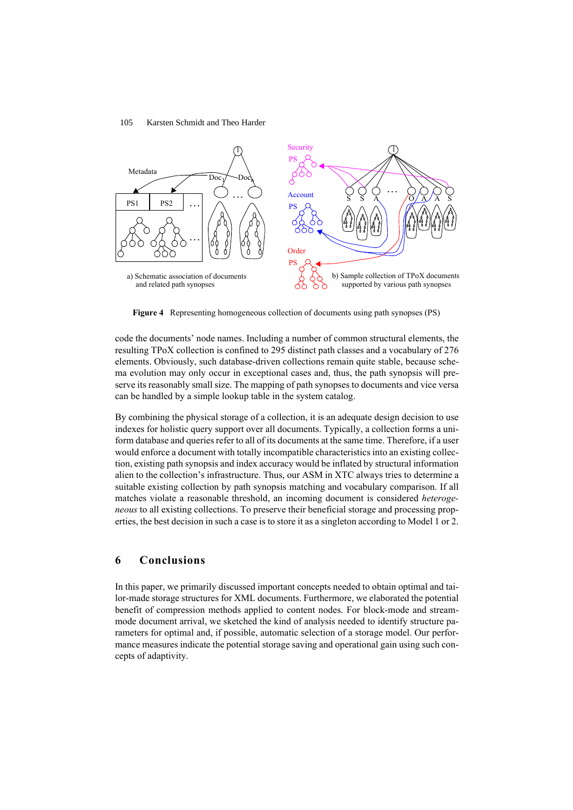

**Figure 4** Representing homogeneous collection of documents using path synopses (PS)

code the documents' node names. Including a number of common structural elements, the resulting TPoX collection is confined to 295 distinct path classes and a vocabulary of 276 elements. Obviously, such database-driven collections remain quite stable, because schema evolution may only occur in exceptional cases and, thus, the path synopsis will preserve its reasonably small size. The mapping of path synopses to documents and vice versa can be handled by a simple lookup table in the system catalog.

By combining the physical storage of a collection, it is an adequate design decision to use indexes for holistic query support over all documents. Typically, a collection forms a uniform database and queries refer to all of its documents at the same time. Therefore, if a user would enforce a document with totally incompatible characteristics into an existing collection, existing path synopsis and index accuracy would be inflated by structural information alien to the collection's infrastructure. Thus, our ASM in XTC always tries to determine a suitable existing collection by path synopsis matching and vocabulary comparison. If all matches violate a reasonable threshold, an incoming document is considered *heterogeneous* to all existing collections. To preserve their beneficial storage and processing properties, the best decision in such a case is to store it as a singleton according to Model 1 or 2.

### **6 Conclusions**

In this paper, we primarily discussed important concepts needed to obtain optimal and tailor-made storage structures for XML documents. Furthermore, we elaborated the potential benefit of compression methods applied to content nodes. For block-mode and streammode document arrival, we sketched the kind of analysis needed to identify structure parameters for optimal and, if possible, automatic selection of a storage model. Our performance measures indicate the potential storage saving and operational gain using such concepts of adaptivity.